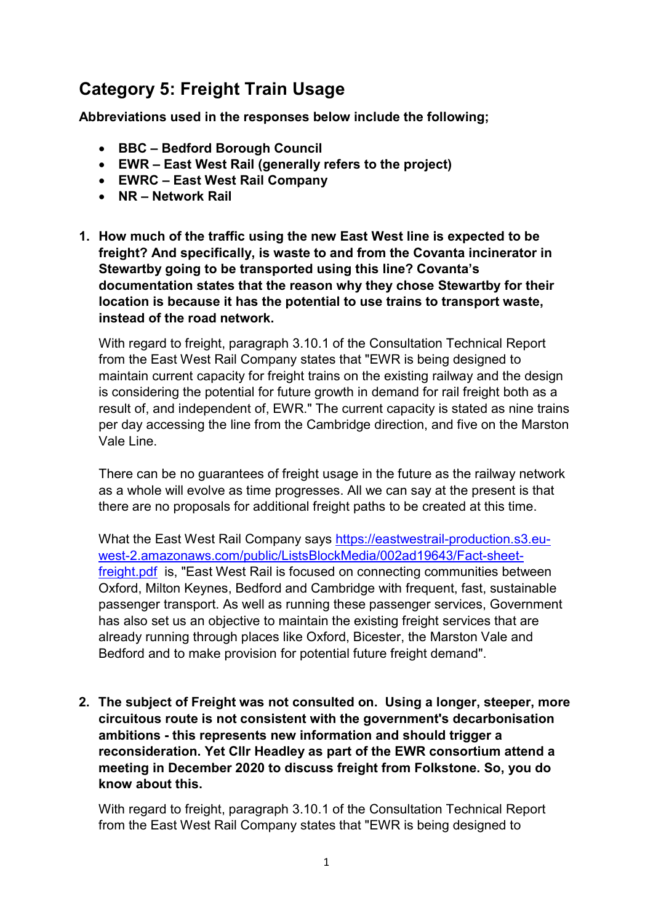# Category 5: Freight Train Usage

Abbreviations used in the responses below include the following;

- BBC Bedford Borough Council
- EWR East West Rail (generally refers to the project)
- EWRC East West Rail Company
- NR Network Rail
- 1. How much of the traffic using the new East West line is expected to be freight? And specifically, is waste to and from the Covanta incinerator in Stewartby going to be transported using this line? Covanta's documentation states that the reason why they chose Stewartby for their location is because it has the potential to use trains to transport waste, instead of the road network.

 With regard to freight, paragraph 3.10.1 of the Consultation Technical Report from the East West Rail Company states that "EWR is being designed to maintain current capacity for freight trains on the existing railway and the design is considering the potential for future growth in demand for rail freight both as a result of, and independent of, EWR." The current capacity is stated as nine trains per day accessing the line from the Cambridge direction, and five on the Marston Vale Line.

 There can be no guarantees of freight usage in the future as the railway network as a whole will evolve as time progresses. All we can say at the present is that there are no proposals for additional freight paths to be created at this time.

What the East West Rail Company says <u>https://eastwestrail-production.s3.eu</u>freight.pdf is, "East West Rail is focused on connecting communities between Oxford, Milton Keynes, Bedford and Cambridge with frequent, fast, sustainable passenger transport. As well as running these passenger services, Government has also set us an objective to maintain the existing freight services that are already running through places like Oxford, Bicester, the Marston Vale and Bedford and to make provision for potential future freight demand". west-2.amazonaws.com/public/ListsBlockMedia/002ad19643/Fact-sheet-

 2. The subject of Freight was not consulted on. Using a longer, steeper, more circuitous route is not consistent with the government's decarbonisation ambitions - this represents new information and should trigger a reconsideration. Yet Cllr Headley as part of the EWR consortium attend a meeting in December 2020 to discuss freight from Folkstone. So, you do know about this.

 With regard to freight, paragraph 3.10.1 of the Consultation Technical Report from the East West Rail Company states that "EWR is being designed to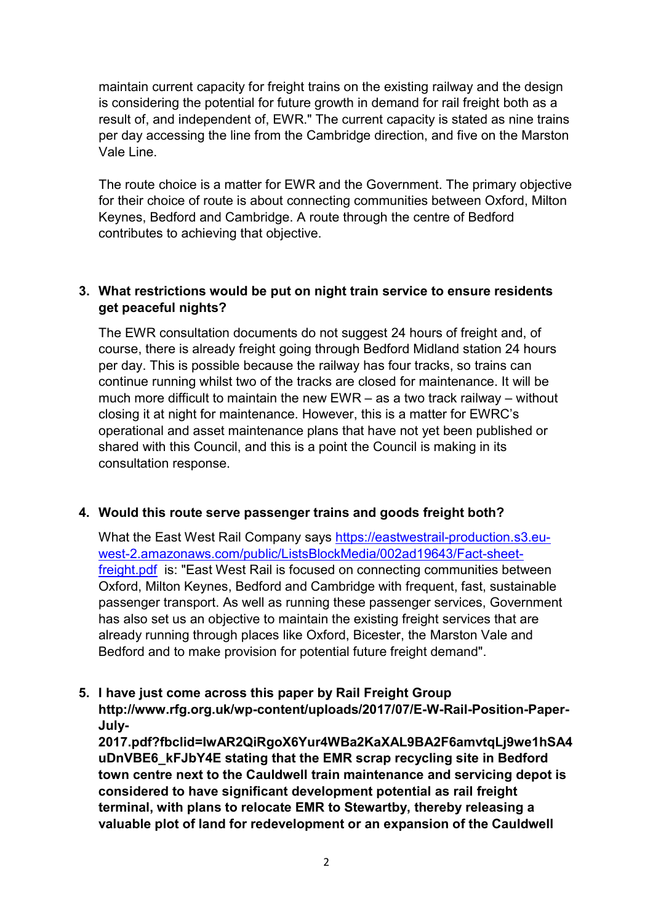maintain current capacity for freight trains on the existing railway and the design is considering the potential for future growth in demand for rail freight both as a result of, and independent of, EWR." The current capacity is stated as nine trains per day accessing the line from the Cambridge direction, and five on the Marston Vale Line.

 The route choice is a matter for EWR and the Government. The primary objective for their choice of route is about connecting communities between Oxford, Milton Keynes, Bedford and Cambridge. A route through the centre of Bedford contributes to achieving that objective.

# 3. What restrictions would be put on night train service to ensure residents get peaceful nights?

 The EWR consultation documents do not suggest 24 hours of freight and, of course, there is already freight going through Bedford Midland station 24 hours per day. This is possible because the railway has four tracks, so trains can continue running whilst two of the tracks are closed for maintenance. It will be much more difficult to maintain the new EWR – as a two track railway – without closing it at night for maintenance. However, this is a matter for EWRC's operational and asset maintenance plans that have not yet been published or shared with this Council, and this is a point the Council is making in its consultation response.

# 4. Would this route serve passenger trains and goods freight both?

What the East West Rail Company says https://eastwestrail-production.s3.eu-<u>freight.pdf</u> is: "East West Rail is focused on connecting communities between Oxford, Milton Keynes, Bedford and Cambridge with frequent, fast, sustainable passenger transport. As well as running these passenger services, Government has also set us an objective to maintain the existing freight services that are already running through places like Oxford, Bicester, the Marston Vale and Bedford and to make provision for potential future freight demand". west-2.amazonaws.com/public/ListsBlockMedia/002ad19643/Fact-sheet-

# 5. I have just come across this paper by Rail Freight Group

http://www.rfg.org.uk/wp-content/uploads/2017/07/E-W-Rail-Position-Paper-July-

 uDnVBE6\_kFJbY4E stating that the EMR scrap recycling site in Bedford town centre next to the Cauldwell train maintenance and servicing depot is considered to have significant development potential as rail freight terminal, with plans to relocate EMR to Stewartby, thereby releasing a valuable plot of land for redevelopment or an expansion of the Cauldwell 2017.pdf?fbclid=IwAR2QiRgoX6Yur4WBa2KaXAL9BA2F6amvtqLj9we1hSA4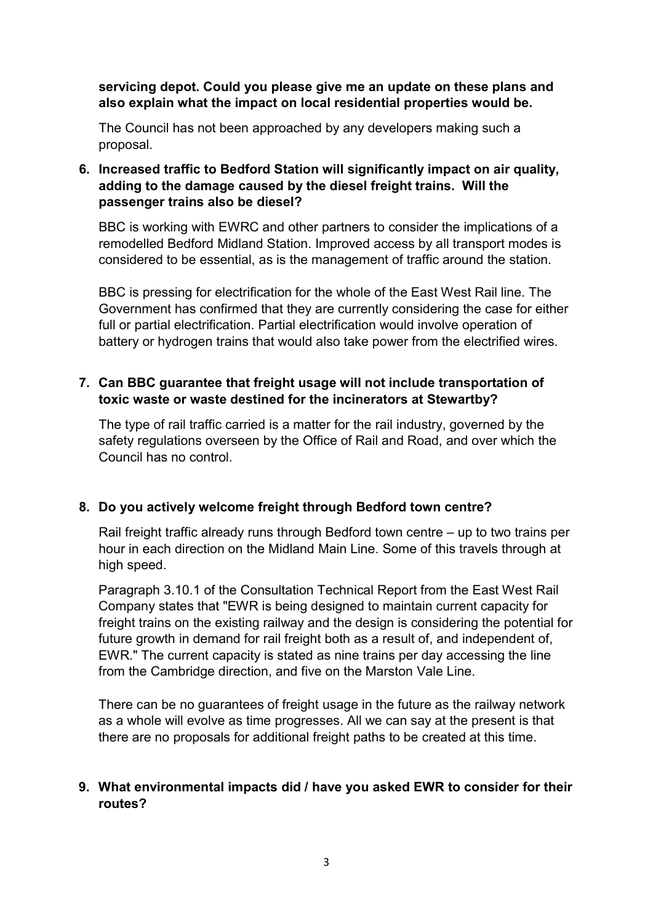## servicing depot. Could you please give me an update on these plans and also explain what the impact on local residential properties would be.

 The Council has not been approached by any developers making such a proposal.

## 6. Increased traffic to Bedford Station will significantly impact on air quality, adding to the damage caused by the diesel freight trains. Will the passenger trains also be diesel?

 BBC is working with EWRC and other partners to consider the implications of a remodelled Bedford Midland Station. Improved access by all transport modes is considered to be essential, as is the management of traffic around the station.

 BBC is pressing for electrification for the whole of the East West Rail line. The Government has confirmed that they are currently considering the case for either full or partial electrification. Partial electrification would involve operation of battery or hydrogen trains that would also take power from the electrified wires.

# 7. Can BBC guarantee that freight usage will not include transportation of toxic waste or waste destined for the incinerators at Stewartby?

 The type of rail traffic carried is a matter for the rail industry, governed by the safety regulations overseen by the Office of Rail and Road, and over which the Council has no control.

# 8. Do you actively welcome freight through Bedford town centre?

 Rail freight traffic already runs through Bedford town centre – up to two trains per hour in each direction on the Midland Main Line. Some of this travels through at high speed.

 Paragraph 3.10.1 of the Consultation Technical Report from the East West Rail Company states that "EWR is being designed to maintain current capacity for freight trains on the existing railway and the design is considering the potential for future growth in demand for rail freight both as a result of, and independent of, EWR." The current capacity is stated as nine trains per day accessing the line from the Cambridge direction, and five on the Marston Vale Line.

 There can be no guarantees of freight usage in the future as the railway network as a whole will evolve as time progresses. All we can say at the present is that there are no proposals for additional freight paths to be created at this time.

# 9. What environmental impacts did / have you asked EWR to consider for their routes?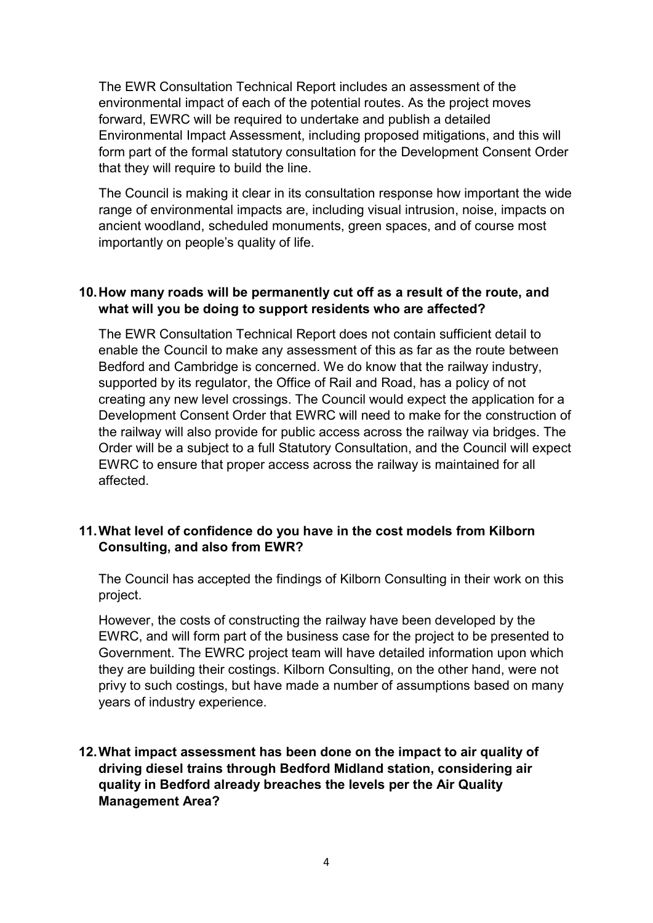The EWR Consultation Technical Report includes an assessment of the environmental impact of each of the potential routes. As the project moves forward, EWRC will be required to undertake and publish a detailed Environmental Impact Assessment, including proposed mitigations, and this will form part of the formal statutory consultation for the Development Consent Order that they will require to build the line.

 The Council is making it clear in its consultation response how important the wide range of environmental impacts are, including visual intrusion, noise, impacts on ancient woodland, scheduled monuments, green spaces, and of course most importantly on people's quality of life.

## 10.How many roads will be permanently cut off as a result of the route, and what will you be doing to support residents who are affected?

 The EWR Consultation Technical Report does not contain sufficient detail to enable the Council to make any assessment of this as far as the route between Bedford and Cambridge is concerned. We do know that the railway industry, supported by its regulator, the Office of Rail and Road, has a policy of not creating any new level crossings. The Council would expect the application for a Development Consent Order that EWRC will need to make for the construction of the railway will also provide for public access across the railway via bridges. The Order will be a subject to a full Statutory Consultation, and the Council will expect EWRC to ensure that proper access across the railway is maintained for all affected.

### 11.What level of confidence do you have in the cost models from Kilborn Consulting, and also from EWR?

 The Council has accepted the findings of Kilborn Consulting in their work on this project.

 However, the costs of constructing the railway have been developed by the EWRC, and will form part of the business case for the project to be presented to Government. The EWRC project team will have detailed information upon which they are building their costings. Kilborn Consulting, on the other hand, were not privy to such costings, but have made a number of assumptions based on many years of industry experience.

## 12.What impact assessment has been done on the impact to air quality of driving diesel trains through Bedford Midland station, considering air quality in Bedford already breaches the levels per the Air Quality Management Area?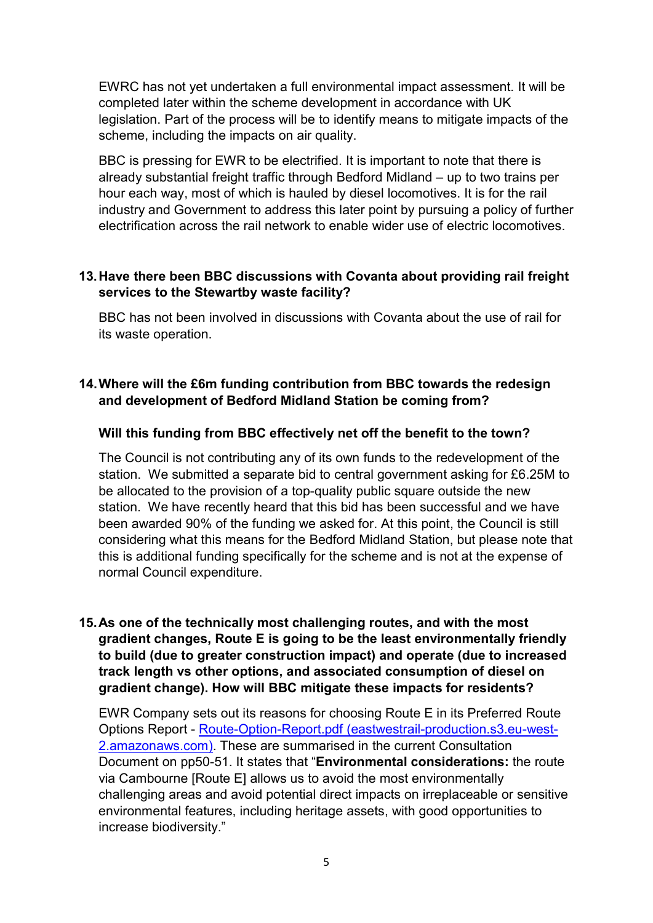EWRC has not yet undertaken a full environmental impact assessment. It will be completed later within the scheme development in accordance with UK legislation. Part of the process will be to identify means to mitigate impacts of the scheme, including the impacts on air quality.

 BBC is pressing for EWR to be electrified. It is important to note that there is already substantial freight traffic through Bedford Midland – up to two trains per hour each way, most of which is hauled by diesel locomotives. It is for the rail industry and Government to address this later point by pursuing a policy of further electrification across the rail network to enable wider use of electric locomotives.

## 13.Have there been BBC discussions with Covanta about providing rail freight services to the Stewartby waste facility?

 BBC has not been involved in discussions with Covanta about the use of rail for its waste operation.

# 14.Where will the £6m funding contribution from BBC towards the redesign and development of Bedford Midland Station be coming from?

# Will this funding from BBC effectively net off the benefit to the town?

 The Council is not contributing any of its own funds to the redevelopment of the station. We submitted a separate bid to central government asking for £6.25M to be allocated to the provision of a top-quality public square outside the new station. We have recently heard that this bid has been successful and we have been awarded 90% of the funding we asked for. At this point, the Council is still considering what this means for the Bedford Midland Station, but please note that this is additional funding specifically for the scheme and is not at the expense of normal Council expenditure.

# 15.As one of the technically most challenging routes, and with the most gradient changes, Route E is going to be the least environmentally friendly to build (due to greater construction impact) and operate (due to increased track length vs other options, and associated consumption of diesel on gradient change). How will BBC mitigate these impacts for residents?

 EWR Company sets out its reasons for choosing Route E in its Preferred Route Options Report - Route-Option-Report.pdf (eastwestrail-production.s3.eu-west-2.amazonaws.com). These are summarised in the current Consultation Document on pp50-51. It states that "Environmental considerations: the route via Cambourne [Route E] allows us to avoid the most environmentally challenging areas and avoid potential direct impacts on irreplaceable or sensitive environmental features, including heritage assets, with good opportunities to increase biodiversity."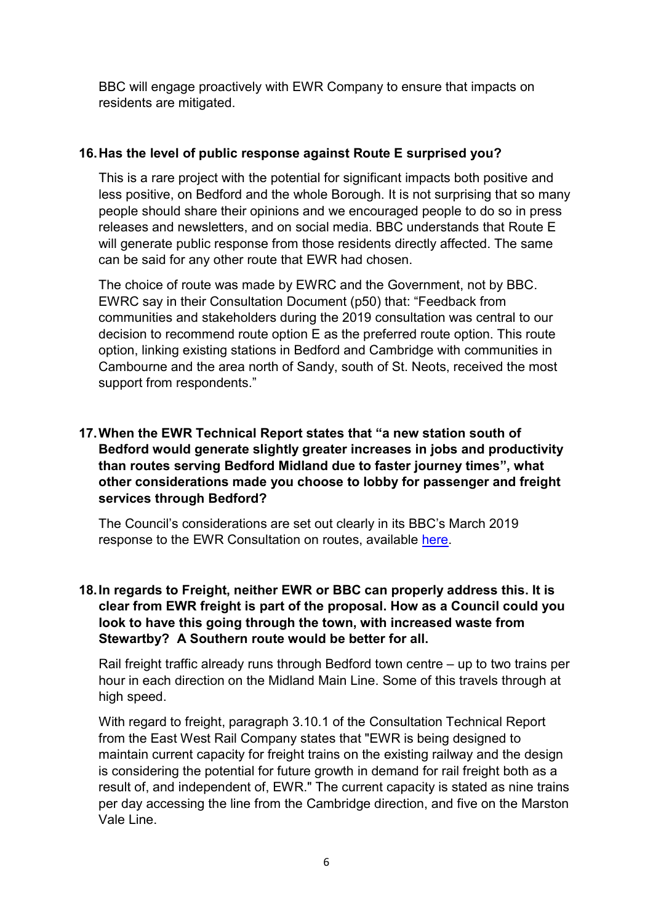BBC will engage proactively with EWR Company to ensure that impacts on residents are mitigated.

### 16.Has the level of public response against Route E surprised you?

 This is a rare project with the potential for significant impacts both positive and less positive, on Bedford and the whole Borough. It is not surprising that so many people should share their opinions and we encouraged people to do so in press releases and newsletters, and on social media. BBC understands that Route E will generate public response from those residents directly affected. The same can be said for any other route that EWR had chosen.

 The choice of route was made by EWRC and the Government, not by BBC. EWRC say in their Consultation Document (p50) that: "Feedback from communities and stakeholders during the 2019 consultation was central to our decision to recommend route option E as the preferred route option. This route option, linking existing stations in Bedford and Cambridge with communities in Cambourne and the area north of Sandy, south of St. Neots, received the most support from respondents."

# 17.When the EWR Technical Report states that "a new station south of Bedford would generate slightly greater increases in jobs and productivity than routes serving Bedford Midland due to faster journey times", what other considerations made you choose to lobby for passenger and freight services through Bedford?

 The Council's considerations are set out clearly in its BBC's March 2019 response to the EWR Consultation on routes, available here.

# 18.In regards to Freight, neither EWR or BBC can properly address this. It is clear from EWR freight is part of the proposal. How as a Council could you look to have this going through the town, with increased waste from Stewartby? A Southern route would be better for all.

 Rail freight traffic already runs through Bedford town centre – up to two trains per hour in each direction on the Midland Main Line. Some of this travels through at high speed.

 With regard to freight, paragraph 3.10.1 of the Consultation Technical Report from the East West Rail Company states that "EWR is being designed to maintain current capacity for freight trains on the existing railway and the design is considering the potential for future growth in demand for rail freight both as a result of, and independent of, EWR." The current capacity is stated as nine trains per day accessing the line from the Cambridge direction, and five on the Marston Vale Line.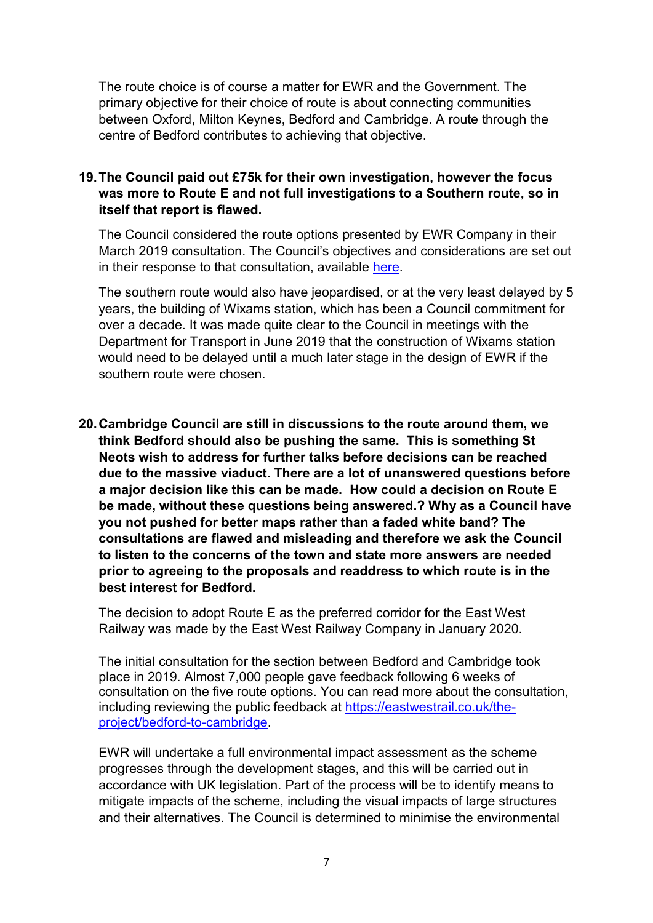The route choice is of course a matter for EWR and the Government. The primary objective for their choice of route is about connecting communities between Oxford, Milton Keynes, Bedford and Cambridge. A route through the centre of Bedford contributes to achieving that objective.

## 19.The Council paid out £75k for their own investigation, however the focus was more to Route E and not full investigations to a Southern route, so in itself that report is flawed.

 The Council considered the route options presented by EWR Company in their March 2019 consultation. The Council's objectives and considerations are set out in their response to that consultation, available here.

 The southern route would also have jeopardised, or at the very least delayed by 5 years, the building of Wixams station, which has been a Council commitment for over a decade. It was made quite clear to the Council in meetings with the Department for Transport in June 2019 that the construction of Wixams station would need to be delayed until a much later stage in the design of EWR if the southern route were chosen.

 20.Cambridge Council are still in discussions to the route around them, we think Bedford should also be pushing the same. This is something St Neots wish to address for further talks before decisions can be reached due to the massive viaduct. There are a lot of unanswered questions before a major decision like this can be made. How could a decision on Route E be made, without these questions being answered.? Why as a Council have you not pushed for better maps rather than a faded white band? The consultations are flawed and misleading and therefore we ask the Council to listen to the concerns of the town and state more answers are needed prior to agreeing to the proposals and readdress to which route is in the best interest for Bedford.

 The decision to adopt Route E as the preferred corridor for the East West Railway was made by the East West Railway Company in January 2020.

 The initial consultation for the section between Bedford and Cambridge took place in 2019. Almost 7,000 people gave feedback following 6 weeks of consultation on the five route options. You can read more about the consultation, including reviewing the public feedback at https://eastwestrail.co.uk/theproject/bedford-to-cambridge.

 EWR will undertake a full environmental impact assessment as the scheme progresses through the development stages, and this will be carried out in accordance with UK legislation. Part of the process will be to identify means to mitigate impacts of the scheme, including the visual impacts of large structures and their alternatives. The Council is determined to minimise the environmental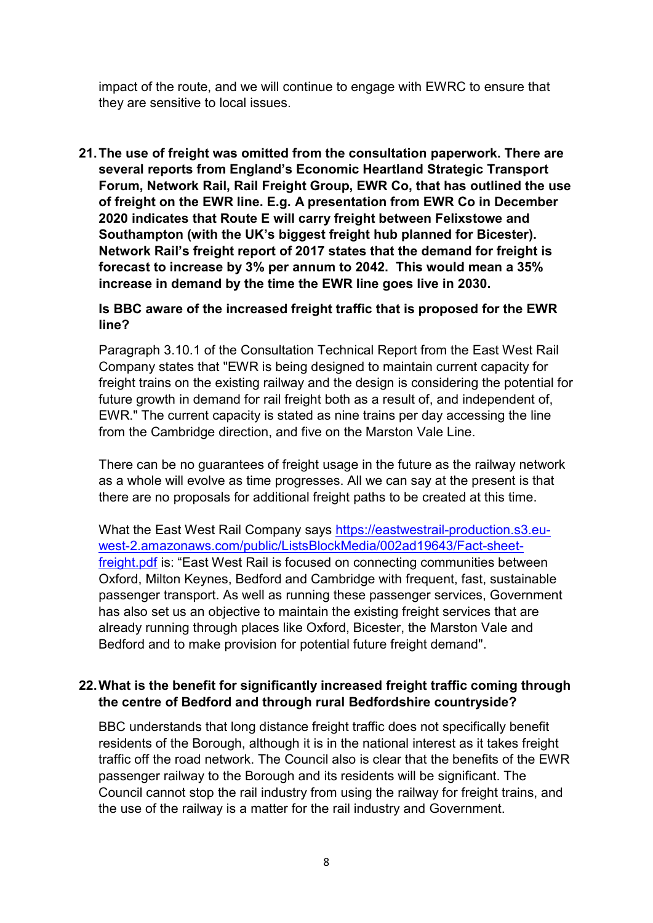impact of the route, and we will continue to engage with EWRC to ensure that they are sensitive to local issues.

 21.The use of freight was omitted from the consultation paperwork. There are several reports from England's Economic Heartland Strategic Transport Forum, Network Rail, Rail Freight Group, EWR Co, that has outlined the use of freight on the EWR line. E.g. A presentation from EWR Co in December 2020 indicates that Route E will carry freight between Felixstowe and Southampton (with the UK's biggest freight hub planned for Bicester). Network Rail's freight report of 2017 states that the demand for freight is forecast to increase by 3% per annum to 2042. This would mean a 35% increase in demand by the time the EWR line goes live in 2030.

#### Is BBC aware of the increased freight traffic that is proposed for the EWR line?

 Paragraph 3.10.1 of the Consultation Technical Report from the East West Rail Company states that "EWR is being designed to maintain current capacity for freight trains on the existing railway and the design is considering the potential for future growth in demand for rail freight both as a result of, and independent of, EWR." The current capacity is stated as nine trains per day accessing the line from the Cambridge direction, and five on the Marston Vale Line.

 There can be no guarantees of freight usage in the future as the railway network as a whole will evolve as time progresses. All we can say at the present is that there are no proposals for additional freight paths to be created at this time.

What the East West Rail Company says <u>https://eastwestrail-production.s3.eu</u>freight.pdf is: "East West Rail is focused on connecting communities between Oxford, Milton Keynes, Bedford and Cambridge with frequent, fast, sustainable passenger transport. As well as running these passenger services, Government has also set us an objective to maintain the existing freight services that are already running through places like Oxford, Bicester, the Marston Vale and Bedford and to make provision for potential future freight demand". west-2.amazonaws.com/public/ListsBlockMedia/002ad19643/Fact-sheet-

### 22.What is the benefit for significantly increased freight traffic coming through the centre of Bedford and through rural Bedfordshire countryside?

 BBC understands that long distance freight traffic does not specifically benefit residents of the Borough, although it is in the national interest as it takes freight traffic off the road network. The Council also is clear that the benefits of the EWR passenger railway to the Borough and its residents will be significant. The Council cannot stop the rail industry from using the railway for freight trains, and the use of the railway is a matter for the rail industry and Government.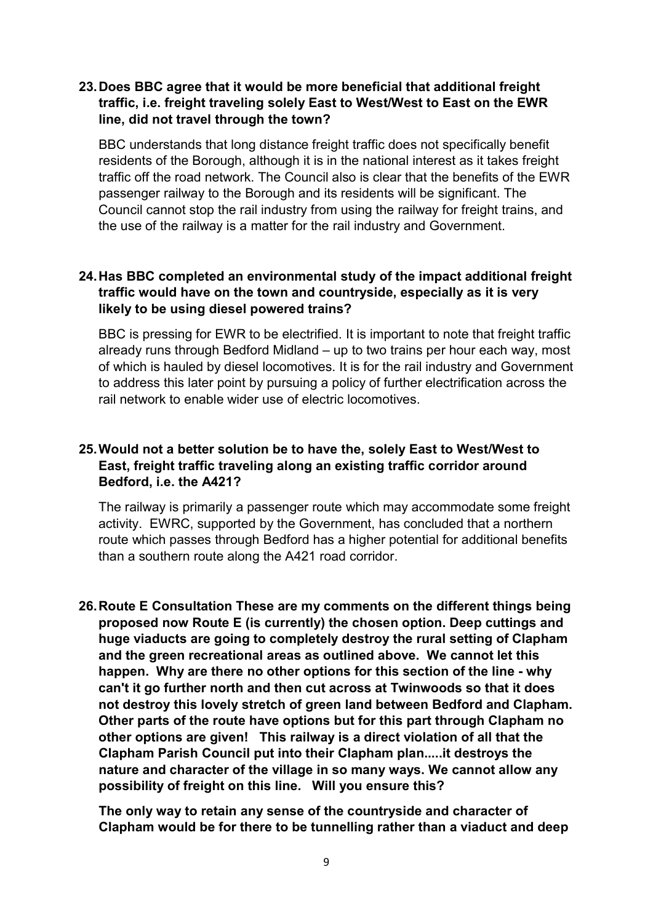## 23.Does BBC agree that it would be more beneficial that additional freight traffic, i.e. freight traveling solely East to West/West to East on the EWR line, did not travel through the town?

 BBC understands that long distance freight traffic does not specifically benefit residents of the Borough, although it is in the national interest as it takes freight traffic off the road network. The Council also is clear that the benefits of the EWR passenger railway to the Borough and its residents will be significant. The Council cannot stop the rail industry from using the railway for freight trains, and the use of the railway is a matter for the rail industry and Government.

### 24.Has BBC completed an environmental study of the impact additional freight traffic would have on the town and countryside, especially as it is very likely to be using diesel powered trains?

 BBC is pressing for EWR to be electrified. It is important to note that freight traffic already runs through Bedford Midland – up to two trains per hour each way, most of which is hauled by diesel locomotives. It is for the rail industry and Government to address this later point by pursuing a policy of further electrification across the rail network to enable wider use of electric locomotives.

# 25.Would not a better solution be to have the, solely East to West/West to East, freight traffic traveling along an existing traffic corridor around Bedford, i.e. the A421?

 The railway is primarily a passenger route which may accommodate some freight activity. EWRC, supported by the Government, has concluded that a northern route which passes through Bedford has a higher potential for additional benefits than a southern route along the A421 road corridor.

 26.Route E Consultation These are my comments on the different things being proposed now Route E (is currently) the chosen option. Deep cuttings and huge viaducts are going to completely destroy the rural setting of Clapham and the green recreational areas as outlined above. We cannot let this happen. Why are there no other options for this section of the line - why can't it go further north and then cut across at Twinwoods so that it does not destroy this lovely stretch of green land between Bedford and Clapham. Other parts of the route have options but for this part through Clapham no other options are given! This railway is a direct violation of all that the Clapham Parish Council put into their Clapham plan.....it destroys the nature and character of the village in so many ways. We cannot allow any possibility of freight on this line. Will you ensure this?

 The only way to retain any sense of the countryside and character of Clapham would be for there to be tunnelling rather than a viaduct and deep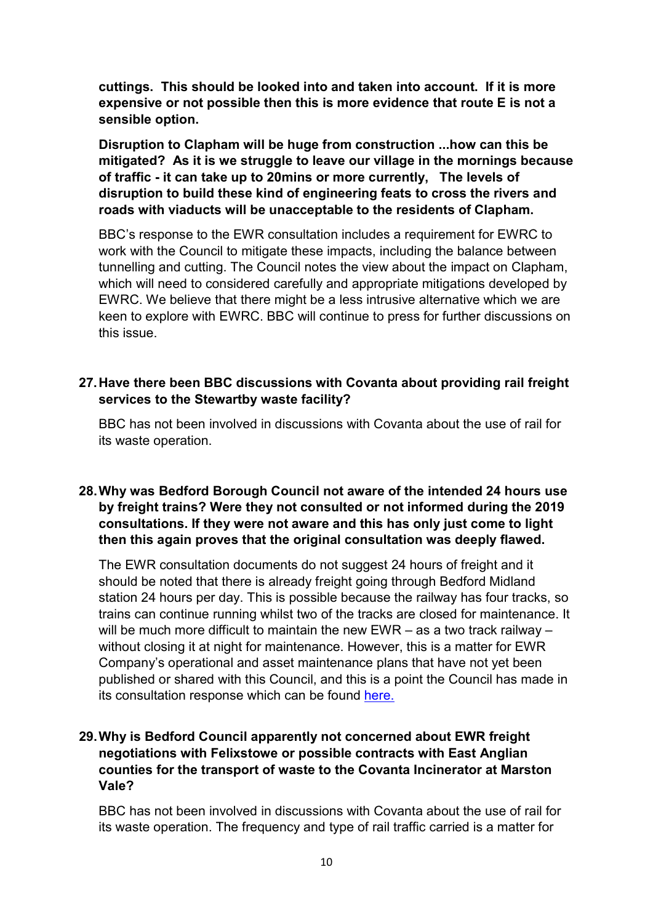cuttings. This should be looked into and taken into account. If it is more expensive or not possible then this is more evidence that route E is not a sensible option.

 Disruption to Clapham will be huge from construction ...how can this be mitigated? As it is we struggle to leave our village in the mornings because of traffic - it can take up to 20mins or more currently, The levels of disruption to build these kind of engineering feats to cross the rivers and roads with viaducts will be unacceptable to the residents of Clapham.

 BBC's response to the EWR consultation includes a requirement for EWRC to work with the Council to mitigate these impacts, including the balance between tunnelling and cutting. The Council notes the view about the impact on Clapham, which will need to considered carefully and appropriate mitigations developed by EWRC. We believe that there might be a less intrusive alternative which we are keen to explore with EWRC. BBC will continue to press for further discussions on this issue.

### 27.Have there been BBC discussions with Covanta about providing rail freight services to the Stewartby waste facility?

 BBC has not been involved in discussions with Covanta about the use of rail for its waste operation.

## 28.Why was Bedford Borough Council not aware of the intended 24 hours use by freight trains? Were they not consulted or not informed during the 2019 consultations. If they were not aware and this has only just come to light then this again proves that the original consultation was deeply flawed.

 The EWR consultation documents do not suggest 24 hours of freight and it should be noted that there is already freight going through Bedford Midland station 24 hours per day. This is possible because the railway has four tracks, so trains can continue running whilst two of the tracks are closed for maintenance. It will be much more difficult to maintain the new EWR – as a two track railway – without closing it at night for maintenance. However, this is a matter for EWR Company's operational and asset maintenance plans that have not yet been published or shared with this Council, and this is a point the Council has made in its consultation response which can be found here.

# 29.Why is Bedford Council apparently not concerned about EWR freight negotiations with Felixstowe or possible contracts with East Anglian counties for the transport of waste to the Covanta Incinerator at Marston Vale?

 BBC has not been involved in discussions with Covanta about the use of rail for its waste operation. The frequency and type of rail traffic carried is a matter for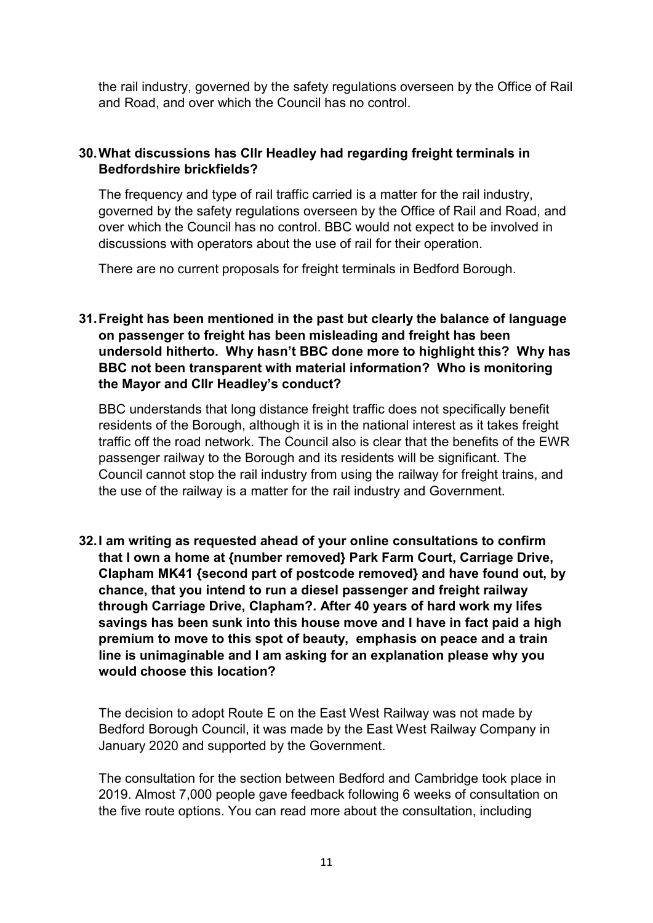the rail industry, governed by the safety regulations overseen by the Office of Rail and Road, and over which the Council has no control.

# 30.What discussions has Cllr Headley had regarding freight terminals in Bedfordshire brickfields?

 The frequency and type of rail traffic carried is a matter for the rail industry, governed by the safety regulations overseen by the Office of Rail and Road, and over which the Council has no control. BBC would not expect to be involved in discussions with operators about the use of rail for their operation.

There are no current proposals for freight terminals in Bedford Borough.

# 31.Freight has been mentioned in the past but clearly the balance of language on passenger to freight has been misleading and freight has been undersold hitherto. Why hasn't BBC done more to highlight this? Why has BBC not been transparent with material information? Who is monitoring the Mayor and Cllr Headley's conduct?

 BBC understands that long distance freight traffic does not specifically benefit residents of the Borough, although it is in the national interest as it takes freight traffic off the road network. The Council also is clear that the benefits of the EWR passenger railway to the Borough and its residents will be significant. The Council cannot stop the rail industry from using the railway for freight trains, and the use of the railway is a matter for the rail industry and Government.

 32.I am writing as requested ahead of your online consultations to confirm that I own a home at {number removed} Park Farm Court, Carriage Drive, Clapham MK41 {second part of postcode removed} and have found out, by chance, that you intend to run a diesel passenger and freight railway through Carriage Drive, Clapham?. After 40 years of hard work my lifes savings has been sunk into this house move and I have in fact paid a high premium to move to this spot of beauty, emphasis on peace and a train line is unimaginable and I am asking for an explanation please why you would choose this location?

 The decision to adopt Route E on the East West Railway was not made by Bedford Borough Council, it was made by the East West Railway Company in January 2020 and supported by the Government.

 The consultation for the section between Bedford and Cambridge took place in 2019. Almost 7,000 people gave feedback following 6 weeks of consultation on the five route options. You can read more about the consultation, including